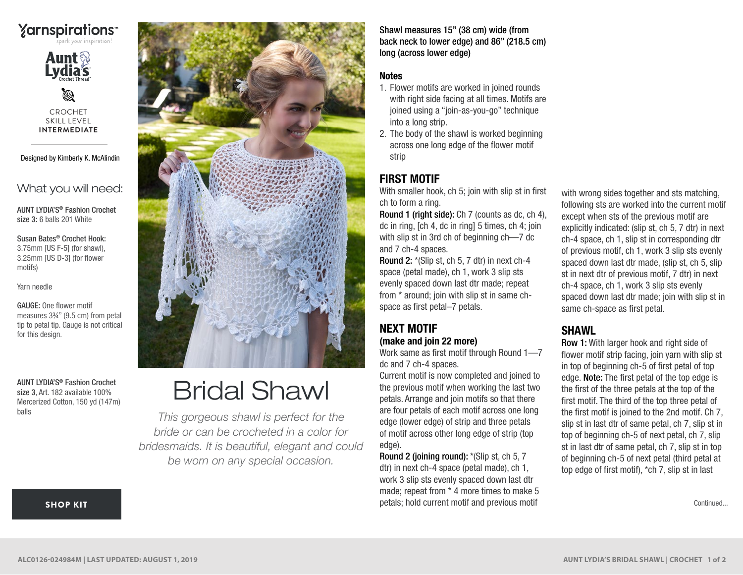# **Yarnspirations**



Ø CROCHET SKILL LEVEL **INTERMEDIATE**

Designed by Kimberly K. McAlindin

What you will need:

AUNT LYDIA'S® Fashion Crochet size 3: 6 balls 201 White

Susan Bates® Crochet Hook: 3.75mm [US F-5] (for shawl), 3.25mm [US D-3] (for flower motifs)

Yarn needle

GAUGE: One flower motif measures 3¾" (9.5 cm) from petal tip to petal tip. Gauge is not critical for this design.

AUNT LYDIA'S® Fashion Crochet size 3, Art. 182 available 100% Mercerized Cotton, 150 yd (147m) balls



# Bridal Shawl

*This gorgeous shawl is perfect for the bride or can be crocheted in a color for bridesmaids. It is beautiful, elegant and could be worn on any special occasion.*

Shawl measures 15" (38 cm) wide (from back neck to lower edge) and 86" (218.5 cm) long (across lower edge)

#### **Notes**

- 1. Flower motifs are worked in joined rounds with right side facing at all times. Motifs are joined using a "join-as-you-go" technique into a long strip.
- 2. The body of the shawl is worked beginning across one long edge of the flower motif strip

## FIRST MOTIF

With smaller hook, ch 5; join with slip st in first ch to form a ring.

Round 1 (right side): Ch 7 (counts as dc, ch 4), dc in ring, [ch 4, dc in ring] 5 times, ch 4; join with slip st in 3rd ch of beginning ch—7 dc and 7 ch-4 spaces.

Round 2: \*(Slip st, ch 5, 7 dtr) in next ch-4 space (petal made), ch 1, work 3 slip sts evenly spaced down last dtr made; repeat from \* around; join with slip st in same chspace as first petal–7 petals.

## NEXT MOTIF (make and join 22 more)

Work same as first motif through Round 1—7 dc and 7 ch-4 spaces.

Current motif is now completed and joined to the previous motif when working the last two petals. Arrange and join motifs so that there are four petals of each motif across one long edge (lower edge) of strip and three petals of motif across other long edge of strip (top edge).

Round 2 (joining round): \*(Slip st, ch 5, 7 dtr) in next ch-4 space (petal made), ch 1, work 3 slip sts evenly spaced down last dtr made; repeat from \* 4 more times to make 5 petals; hold current motif and previous motif

with wrong sides together and sts matching, following sts are worked into the current motif except when sts of the previous motif are explicitly indicated: (slip st, ch 5, 7 dtr) in next ch-4 space, ch 1, slip st in corresponding dtr of previous motif, ch 1, work 3 slip sts evenly spaced down last dtr made, (slip st, ch 5, slip st in next dtr of previous motif, 7 dtr) in next ch-4 space, ch 1, work 3 slip sts evenly spaced down last dtr made; join with slip st in same ch-space as first petal.

# **SHAWL**

Row 1: With larger hook and right side of flower motif strip facing, join yarn with slip st in top of beginning ch-5 of first petal of top edge. Note: The first petal of the top edge is the first of the three petals at the top of the first motif. The third of the top three petal of the first motif is joined to the 2nd motif. Ch 7, slip st in last dtr of same petal, ch 7, slip st in top of beginning ch-5 of next petal, ch 7, slip st in last dtr of same petal, ch 7, slip st in top of beginning ch-5 of next petal (third petal at top edge of first motif), \*ch 7, slip st in last

Continued...

#### [SHOP KIT](https://www.yarnspirations.com/aunt-lydias-bridal-shawl/ALC0126-024984M.html#utm_source=pdf-yarnspirations&utm_medium=referral&utm_campaign=pdf-ALC0126-024984M)